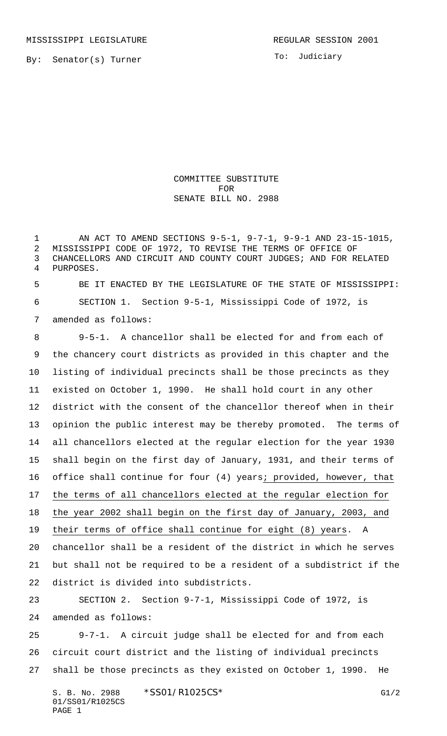To: Judiciary

COMMITTEE SUBSTITUTE FOR SENATE BILL NO. 2988

 AN ACT TO AMEND SECTIONS 9-5-1, 9-7-1, 9-9-1 AND 23-15-1015, MISSISSIPPI CODE OF 1972, TO REVISE THE TERMS OF OFFICE OF CHANCELLORS AND CIRCUIT AND COUNTY COURT JUDGES; AND FOR RELATED PURPOSES.

 BE IT ENACTED BY THE LEGISLATURE OF THE STATE OF MISSISSIPPI: SECTION 1. Section 9-5-1, Mississippi Code of 1972, is

amended as follows:

 9-5-1. A chancellor shall be elected for and from each of the chancery court districts as provided in this chapter and the listing of individual precincts shall be those precincts as they existed on October 1, 1990. He shall hold court in any other district with the consent of the chancellor thereof when in their opinion the public interest may be thereby promoted. The terms of all chancellors elected at the regular election for the year 1930 shall begin on the first day of January, 1931, and their terms of office shall continue for four (4) years; provided, however, that 17 the terms of all chancellors elected at the regular election for the year 2002 shall begin on the first day of January, 2003, and their terms of office shall continue for eight (8) years. A chancellor shall be a resident of the district in which he serves but shall not be required to be a resident of a subdistrict if the district is divided into subdistricts. SECTION 2. Section 9-7-1, Mississippi Code of 1972, is amended as follows: 9-7-1. A circuit judge shall be elected for and from each

 circuit court district and the listing of individual precincts shall be those precincts as they existed on October 1, 1990. He

S. B. No. 2988 \* SSO1/R1025CS\* G1/2 01/SS01/R1025CS PAGE 1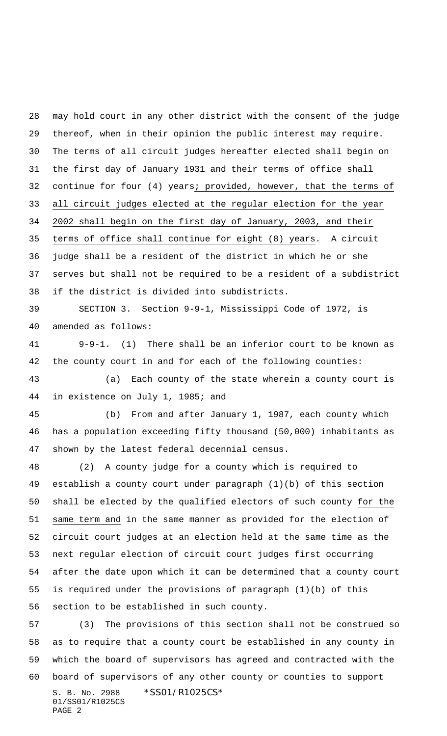may hold court in any other district with the consent of the judge thereof, when in their opinion the public interest may require. The terms of all circuit judges hereafter elected shall begin on the first day of January 1931 and their terms of office shall continue for four (4) years; provided, however, that the terms of all circuit judges elected at the regular election for the year 2002 shall begin on the first day of January, 2003, and their terms of office shall continue for eight (8) years. A circuit judge shall be a resident of the district in which he or she serves but shall not be required to be a resident of a subdistrict if the district is divided into subdistricts.

 SECTION 3. Section 9-9-1, Mississippi Code of 1972, is amended as follows:

 9-9-1. (1) There shall be an inferior court to be known as the county court in and for each of the following counties:

 (a) Each county of the state wherein a county court is in existence on July 1, 1985; and

 (b) From and after January 1, 1987, each county which has a population exceeding fifty thousand (50,000) inhabitants as shown by the latest federal decennial census.

 (2) A county judge for a county which is required to establish a county court under paragraph (1)(b) of this section shall be elected by the qualified electors of such county for the same term and in the same manner as provided for the election of circuit court judges at an election held at the same time as the next regular election of circuit court judges first occurring after the date upon which it can be determined that a county court is required under the provisions of paragraph (1)(b) of this section to be established in such county.

S. B. No. 2988 \*SS01/R1025CS\* (3) The provisions of this section shall not be construed so as to require that a county court be established in any county in which the board of supervisors has agreed and contracted with the board of supervisors of any other county or counties to support

01/SS01/R1025CS PAGE 2